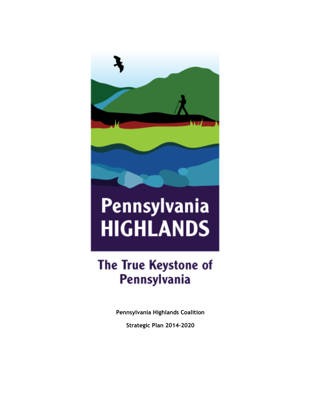

# Pennsylvania **HIGHLANDS**

## The True Keystone of Pennsylvania

**Pennsylvania Highlands Coalition**

**Strategic Plan 2014-2020**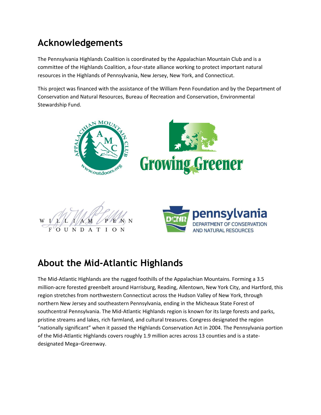## **Acknowledgements**

The Pennsylvania Highlands Coalition is coordinated by the Appalachian Mountain Club and is a committee of the Highlands Coalition, a four-state alliance working to protect important natural resources in the Highlands of Pennsylvania, New Jersey, New York, and Connecticut.

This project was financed with the assistance of the William Penn Foundation and by the Department of Conservation and Natural Resources, Bureau of Recreation and Conservation, Environmental Stewardship Fund.





## **About the Mid-Atlantic Highlands**

The Mid-Atlantic Highlands are the rugged foothills of the Appalachian Mountains. Forming a 3.5 million-acre forested greenbelt around Harrisburg, Reading, Allentown, New York City, and Hartford, this region stretches from northwestern Connecticut across the Hudson Valley of New York, through northern New Jersey and southeastern Pennsylvania, ending in the Micheaux State Forest of southcentral Pennsylvania. The Mid-Atlantic Highlands region is known for its large forests and parks, pristine streams and lakes, rich farmland, and cultural treasures. Congress designated the region "nationally significant" when it passed the Highlands Conservation Act in 2004. The Pennsylvania portion of the Mid-Atlantic Highlands covers roughly 1.9 million acres across 13 counties and is a statedesignated Mega–Greenway.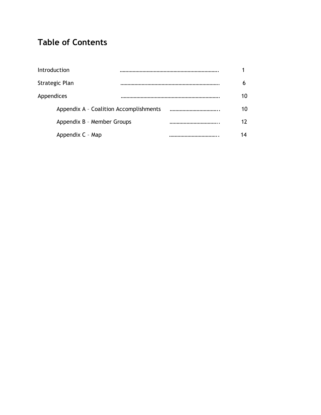## **Table of Contents**

| Introduction                           |  |   |         |
|----------------------------------------|--|---|---------|
| Strategic Plan                         |  |   | h       |
| Appendices                             |  |   | 10      |
| Appendix A - Coalition Accomplishments |  |   | 10      |
| Appendix B - Member Groups             |  |   | $12 \,$ |
| Appendix C - Map                       |  | . | 14      |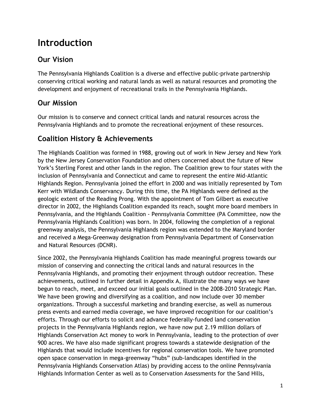## **Introduction**

#### **Our Vision**

The Pennsylvania Highlands Coalition is a diverse and effective public-private partnership conserving critical working and natural lands as well as natural resources and promoting the development and enjoyment of recreational trails in the Pennsylvania Highlands.

#### **Our Mission**

Our mission is to conserve and connect critical lands and natural resources across the Pennsylvania Highlands and to promote the recreational enjoyment of these resources.

#### **Coalition History & Achievements**

The Highlands Coalition was formed in 1988, growing out of work in New Jersey and New York by the New Jersey Conservation Foundation and others concerned about the future of New York's Sterling Forest and other lands in the region. The Coalition grew to four states with the inclusion of Pennsylvania and Connecticut and came to represent the entire Mid-Atlantic Highlands Region. Pennsylvania joined the effort in 2000 and was initially represented by Tom Kerr with Wildlands Conservancy. During this time, the PA Highlands were defined as the geologic extent of the Reading Prong. With the appointment of Tom Gilbert as executive director in 2002, the Highlands Coalition expanded its reach, sought more board members in Pennsylvania, and the Highlands Coalition - Pennsylvania Committee (PA Committee, now the Pennsylvania Highlands Coalition) was born. In 2004, following the completion of a regional greenway analysis, the Pennsylvania Highlands region was extended to the Maryland border and received a Mega-Greenway designation from Pennsylvania Department of Conservation and Natural Resources (DCNR).

Since 2002, the Pennsylvania Highlands Coalition has made meaningful progress towards our mission of conserving and connecting the critical lands and natural resources in the Pennsylvania Highlands, and promoting their enjoyment through outdoor recreation. These achievements, outlined in further detail in Appendix A, illustrate the many ways we have begun to reach, meet, and exceed our initial goals outlined in the 2008-2010 Strategic Plan. We have been growing and diversifying as a coalition, and now include over 30 member organizations. Through a successful marketing and branding exercise, as well as numerous press events and earned media coverage, we have improved recognition for our coalition's efforts. Through our efforts to solicit and advance federally-funded land conservation projects in the Pennsylvania Highlands region, we have now put 2.19 million dollars of Highlands Conservation Act money to work in Pennsylvania, leading to the protection of over 900 acres. We have also made significant progress towards a statewide designation of the Highlands that would include incentives for regional conservation tools. We have promoted open space conservation in mega-greenway "hubs" (sub-landscapes identified in the Pennsylvania Highlands Conservation Atlas) by providing access to the online Pennsylvania Highlands Information Center as well as to Conservation Assessments for the Sand Hills,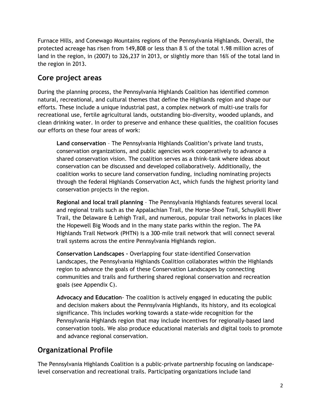Furnace Hills, and Conewago Mountains regions of the Pennsylvania Highlands. Overall, the protected acreage has risen from 149,808 or less than 8 % of the total 1.98 million acres of land in the region, in (2007) to 326,237 in 2013, or slightly more than 16% of the total land in the region in 2013.

#### **Core project areas**

During the planning process, the Pennsylvania Highlands Coalition has identified common natural, recreational, and cultural themes that define the Highlands region and shape our efforts. These include a unique industrial past, a complex network of multi-use trails for recreational use, fertile agricultural lands, outstanding bio-diversity, wooded uplands, and clean drinking water. In order to preserve and enhance these qualities, the coalition focuses our efforts on these four areas of work:

**Land conservation** – The Pennsylvania Highlands Coalition's private land trusts, conservation organizations, and public agencies work cooperatively to advance a shared conservation vision. The coalition serves as a think-tank where ideas about conservation can be discussed and developed collaboratively. Additionally, the coalition works to secure land conservation funding, including nominating projects through the federal Highlands Conservation Act, which funds the highest priority land conservation projects in the region.

**Regional and local trail planning** – The Pennsylvania Highlands features several local and regional trails such as the Appalachian Trail, the Horse-Shoe Trail, Schuylkill River Trail, the Delaware & Lehigh Trail, and numerous, popular trail networks in places like the Hopewell Big Woods and in the many state parks within the region. The PA Highlands Trail Network (PHTN) is a 300-mile trail network that will connect several trail systems across the entire Pennsylvania Highlands region.

**Conservation Landscapes –** Overlapping four state-identified Conservation Landscapes, the Pennsylvania Highlands Coalition collaborates within the Highlands region to advance the goals of these Conservation Landscapes by connecting communities and trails and furthering shared regional conservation and recreation goals (see Appendix C).

**Advocacy and Education**- The coalition is actively engaged in educating the public and decision makers about the Pennsylvania Highlands, its history, and its ecological significance. This includes working towards a state-wide recognition for the Pennsylvania Highlands region that may include incentives for regionally-based land conservation tools. We also produce educational materials and digital tools to promote and advance regional conservation.

#### **Organizational Profile**

The Pennsylvania Highlands Coalition is a public-private partnership focusing on landscapelevel conservation and recreational trails. Participating organizations include land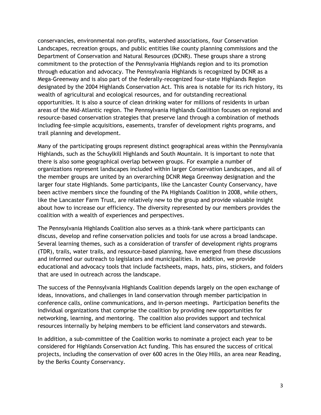conservancies, environmental non-profits, watershed associations, four Conservation Landscapes, recreation groups, and public entities like county planning commissions and the Department of Conservation and Natural Resources (DCNR). These groups share a strong commitment to the protection of the Pennsylvania Highlands region and to its promotion through education and advocacy. The Pennsylvania Highlands is recognized by DCNR as a Mega-Greenway and is also part of the federally-recognized four-state Highlands Region designated by the 2004 Highlands Conservation Act. This area is notable for its rich history, its wealth of agricultural and ecological resources, and for outstanding recreational opportunities. It is also a source of clean drinking water for millions of residents in urban areas of the Mid-Atlantic region. The Pennsylvania Highlands Coalition focuses on regional and resource-based conservation strategies that preserve land through a combination of methods including fee-simple acquisitions, easements, transfer of development rights programs, and trail planning and development.

Many of the participating groups represent distinct geographical areas within the Pennsylvania Highlands, such as the Schuylkill Highlands and South Mountain. It is important to note that there is also some geographical overlap between groups. For example a number of organizations represent landscapes included within larger Conservation Landscapes, and all of the member groups are united by an overarching DCNR Mega Greenway designation and the larger four state Highlands. Some participants, like the Lancaster County Conservancy, have been active members since the founding of the PA Highlands Coalition in 2008, while others, like the Lancaster Farm Trust, are relatively new to the group and provide valuable insight about how to increase our efficiency. The diversity represented by our members provides the coalition with a wealth of experiences and perspectives.

The Pennsylvania Highlands Coalition also serves as a think-tank where participants can discuss, develop and refine conservation policies and tools for use across a broad landscape. Several learning themes, such as a consideration of transfer of development rights programs (TDR), trails, water trails, and resource-based planning, have emerged from these discussions and informed our outreach to legislators and municipalities. In addition, we provide educational and advocacy tools that include factsheets, maps, hats, pins, stickers, and folders that are used in outreach across the landscape.

The success of the Pennsylvania Highlands Coalition depends largely on the open exchange of ideas, innovations, and challenges in land conservation through member participation in conference calls, online communications, and in-person meetings. Participation benefits the individual organizations that comprise the coalition by providing new opportunities for networking, learning, and mentoring. The coalition also provides support and technical resources internally by helping members to be efficient land conservators and stewards.

In addition, a sub-committee of the Coalition works to nominate a project each year to be considered for Highlands Conservation Act funding. This has ensured the success of critical projects, including the conservation of over 600 acres in the Oley Hills, an area near Reading, by the Berks County Conservancy.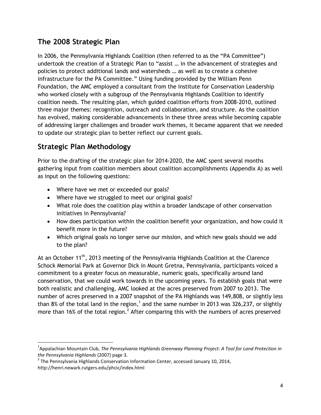#### **The 2008 Strategic Plan**

In 2006, the Pennsylvania Highlands Coalition (then referred to as the "PA Committee") undertook the creation of a Strategic Plan to "assist … in the advancement of strategies and policies to protect additional lands and watersheds … as well as to create a cohesive infrastructure for the PA Committee." Using funding provided by the William Penn Foundation, the AMC employed a consultant from the Institute for Conservation Leadership who worked closely with a subgroup of the Pennsylvania Highlands Coalition to identify coalition needs. The resulting plan, which guided coalition efforts from 2008-2010, outlined three major themes: recognition, outreach and collaboration, and structure. As the coalition has evolved, making considerable advancements in these three areas while becoming capable of addressing larger challenges and broader work themes, it became apparent that we needed to update our strategic plan to better reflect our current goals.

#### **Strategic Plan Methodology**

Prior to the drafting of the strategic plan for 2014-2020, the AMC spent several months gathering input from coalition members about coalition accomplishments (Appendix A) as well as input on the following questions:

- Where have we met or exceeded our goals?
- Where have we struggled to meet our original goals?
- What role does the coalition play within a broader landscape of other conservation initiatives in Pennsylvania?
- How does participation within the coalition benefit your organization, and how could it benefit more in the future?
- Which original goals no longer serve our mission, and which new goals should we add to the plan?

At an October 11<sup>th</sup>, 2013 meeting of the Pennsylvania Highlands Coalition at the Clarence Schock Memorial Park at Governor Dick in Mount Gretna, Pennsylvania, participants voiced a commitment to a greater focus on measurable, numeric goals, specifically around land conservation, that we could work towards in the upcoming years. To establish goals that were both realistic and challenging, AMC looked at the acres preserved from 2007 to 2013. The number of acres preserved in a 2007 snapshot of the PA Highlands was 149,808, or slightly less than 8% of the total land in the region,<sup>1</sup> and the same number in 2013 was 326,237, or slightly more than 16% of the total region.<sup>2</sup> After comparing this with the numbers of acres preserved

l 1 Appalachian Mountain Club, *The Pennsylvania Highlands Greenway Planning Project: A Tool for Land Protection in the Pennsylvania Highlands* (2007) page 3.

 $^2$  The Pennsylvania Highlands Conservation Information Center, accessed January 10, 2014, http://henri.newark.rutgers.edu/phcic/index.html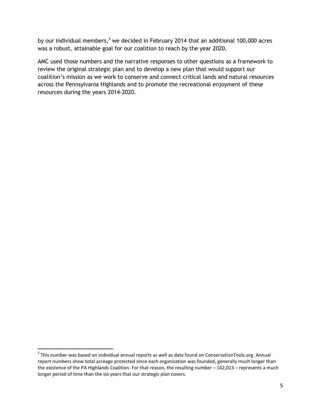by our individual members, $3 \text{ we decided in February 2014 that an additional 100,000 acres}$ was a robust, attainable goal for our coalition to reach by the year 2020.

AMC used those numbers and the narrative responses to other questions as a framework to review the original strategic plan and to develop a new plan that would support our coalition's mission as we work to conserve and connect critical lands and natural resources across the Pennsylvania Highlands and to promote the recreational enjoyment of these resources during the years 2014-2020.

 $\overline{a}$ 

 $3$  This number was based on individual annual reports as well as data found on ConservationTools.org. Annual report numbers show total acreage protected since each organization was founded, generally much longer than the existence of the PA Highlands Coalition. For that reason, the resulting number – 142,013 – represents a much longer period of time than the six years that our strategic plan covers.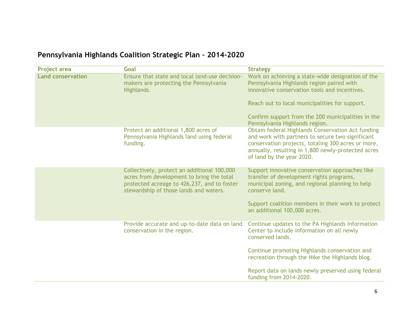### **Pennsylvania Highlands Coalition Strategic Plan – 2014-2020**

| <b>Project area</b>      | Goal                                                                                                                                                                              | <b>Strategy</b>                                                                                                                                                                                                                                |
|--------------------------|-----------------------------------------------------------------------------------------------------------------------------------------------------------------------------------|------------------------------------------------------------------------------------------------------------------------------------------------------------------------------------------------------------------------------------------------|
| <b>Land conservation</b> | Ensure that state and local land-use decision-<br>makers are protecting the Pennsylvania<br>Highlands.                                                                            | Work on achieving a state-wide designation of the<br>Pennsylvania Highlands region paired with<br>innovative conservation tools and incentives.                                                                                                |
|                          |                                                                                                                                                                                   | Reach out to local municipalities for support.                                                                                                                                                                                                 |
|                          |                                                                                                                                                                                   | Confirm support from the 200 municipalities in the<br>Pennsylvania Highlands region.                                                                                                                                                           |
|                          | Protect an additional 1,800 acres of<br>Pennsylvania Highlands land using federal<br>funding.                                                                                     | Obtain federal Highlands Conservation Act funding<br>and work with partners to secure two significant<br>conservation projects, totaling 300 acres or more,<br>annually, resulting in 1,800 newly-protected acres<br>of land by the year 2020. |
|                          | Collectively, protect an additional 100,000<br>acres from development to bring the total<br>protected acreage to 426,237, and to foster<br>stewardship of those lands and waters. | Support innovative conservation approaches like<br>transfer of development rights programs,<br>municipal zoning, and regional planning to help<br>conserve land.                                                                               |
|                          |                                                                                                                                                                                   | Support coalition members in their work to protect<br>an additional 100,000 acres.                                                                                                                                                             |
|                          | Provide accurate and up-to-date data on land<br>conservation in the region.                                                                                                       | Continue updates to the PA Highlands Information<br>Center to include information on all newly<br>conserved lands.                                                                                                                             |
|                          |                                                                                                                                                                                   | Continue promoting Highlands conservation and<br>recreation through the Hike the Highlands blog.                                                                                                                                               |
|                          |                                                                                                                                                                                   | Report data on lands newly preserved using federal<br>funding from 2014-2020.                                                                                                                                                                  |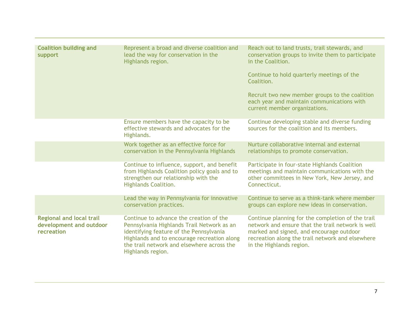| <b>Coalition building and</b><br>support                                 | Represent a broad and diverse coalition and<br>lead the way for conservation in the<br>Highlands region.                                                                                                                                           | Reach out to land trusts, trail stewards, and<br>conservation groups to invite them to participate<br>in the Coalition.<br>Continue to hold quarterly meetings of the<br>Coalition.                                                |
|--------------------------------------------------------------------------|----------------------------------------------------------------------------------------------------------------------------------------------------------------------------------------------------------------------------------------------------|------------------------------------------------------------------------------------------------------------------------------------------------------------------------------------------------------------------------------------|
|                                                                          |                                                                                                                                                                                                                                                    | Recruit two new member groups to the coalition<br>each year and maintain communications with<br>current member organizations.                                                                                                      |
|                                                                          | Ensure members have the capacity to be<br>effective stewards and advocates for the<br>Highlands.                                                                                                                                                   | Continue developing stable and diverse funding<br>sources for the coalition and its members.                                                                                                                                       |
|                                                                          | Work together as an effective force for<br>conservation in the Pennsylvania Highlands                                                                                                                                                              | Nurture collaborative internal and external<br>relationships to promote conservation.                                                                                                                                              |
|                                                                          | Continue to influence, support, and benefit<br>from Highlands Coalition policy goals and to<br>strengthen our relationship with the<br><b>Highlands Coalition.</b>                                                                                 | Participate in four-state Highlands Coalition<br>meetings and maintain communications with the<br>other committees in New York, New Jersey, and<br>Connecticut.                                                                    |
|                                                                          | Lead the way in Pennsylvania for innovative<br>conservation practices.                                                                                                                                                                             | Continue to serve as a think-tank where member<br>groups can explore new ideas in conservation.                                                                                                                                    |
| <b>Regional and local trail</b><br>development and outdoor<br>recreation | Continue to advance the creation of the<br>Pennsylvania Highlands Trail Network as an<br>identifying feature of the Pennsylvania<br>Highlands and to encourage recreation along<br>the trail network and elsewhere across the<br>Highlands region. | Continue planning for the completion of the trail<br>network and ensure that the trail network is well<br>marked and signed, and encourage outdoor<br>recreation along the trail network and elsewhere<br>in the Highlands region. |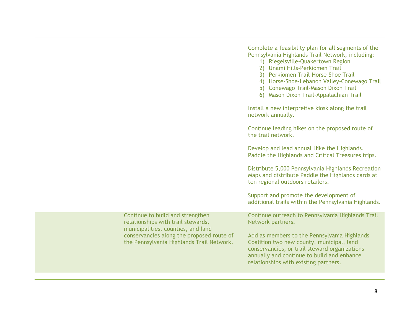Complete a feasibility plan for all segments of the Pennsylvania Highlands Trail Network, including: 1) Riegelsville-Quakertown Region 2) Unami Hills-Perkiomen Trail 3) Perkiomen Trail-Horse-Shoe Trail 4) Horse-Shoe-Lebanon Valley-Conewago Trail 5) Conewago Trail-Mason Dixon Trail 6) Mason Dixon Trail-Appalachian Trail Install a new interpretive kiosk along the trail network annually. Continue leading hikes on the proposed route of the trail network. Develop and lead annual Hike the Highlands, Paddle the Highlands and Critical Treasures trips. Distribute 5,000 Pennsylvania Highlands Recreation Maps and distribute Paddle the Highlands cards at ten regional outdoors retailers. Support and promote the development of additional trails within the Pennsylvania Highlands. Continue to build and strengthen relationships with trail stewards, municipalities, counties, and land conservancies along the proposed route of the Pennsylvania Highlands Trail Network. Continue outreach to Pennsylvania Highlands Trail Network partners. Add as members to the Pennsylvania Highlands Coalition two new county, municipal, land conservancies, or trail steward organizations annually and continue to build and enhance relationships with existing partners.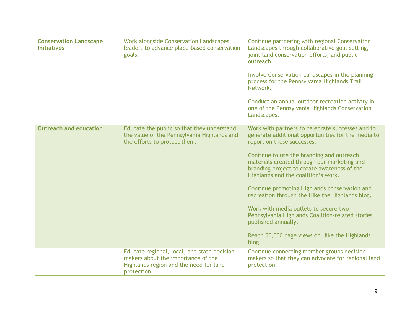| <b>Conservation Landscape</b><br><b>Initiatives</b> | <b>Work alongside Conservation Landscapes</b><br>leaders to advance place-based conservation<br>goals.                                     | Continue partnering with regional Conservation<br>Landscapes through collaborative goal-setting,<br>joint land conservation efforts, and public<br>outreach.<br>Involve Conservation Landscapes in the planning<br>process for the Pennsylvania Highlands Trail<br>Network.<br>Conduct an annual outdoor recreation activity in<br>one of the Pennsylvania Highlands Conservation<br>Landscapes.                                                                                                                                                                                                         |
|-----------------------------------------------------|--------------------------------------------------------------------------------------------------------------------------------------------|----------------------------------------------------------------------------------------------------------------------------------------------------------------------------------------------------------------------------------------------------------------------------------------------------------------------------------------------------------------------------------------------------------------------------------------------------------------------------------------------------------------------------------------------------------------------------------------------------------|
| <b>Outreach and education</b>                       | Educate the public so that they understand<br>the value of the Pennsylvania Highlands and<br>the efforts to protect them.                  | Work with partners to celebrate successes and to<br>generate additional opportunities for the media to<br>report on those successes.<br>Continue to use the branding and outreach<br>materials created through our marketing and<br>branding project to create awareness of the<br>Highlands and the coalition's work.<br>Continue promoting Highlands conservation and<br>recreation through the Hike the Highlands blog.<br>Work with media outlets to secure two<br>Pennsylvania Highlands Coalition-related stories<br>published annually.<br>Reach 50,000 page views on Hike the Highlands<br>blog. |
|                                                     | Educate regional, local, and state decision<br>makers about the importance of the<br>Highlands region and the need for land<br>protection. | Continue connecting member groups decision<br>makers so that they can advocate for regional land<br>protection.                                                                                                                                                                                                                                                                                                                                                                                                                                                                                          |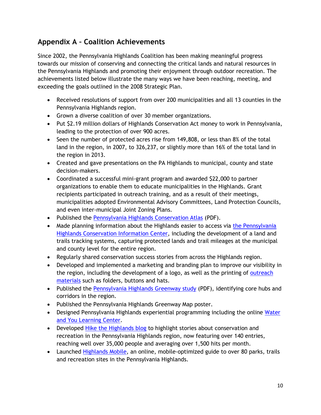#### **Appendix A – Coalition Achievements**

Since 2002, the Pennsylvania Highlands Coalition has been making meaningful progress towards our mission of conserving and connecting the critical lands and natural resources in the Pennsylvania Highlands and promoting their enjoyment through outdoor recreation. The achievements listed below illustrate the many ways we have been reaching, meeting, and exceeding the goals outlined in the 2008 Strategic Plan.

- Received resolutions of support from over 200 municipalities and all 13 counties in the Pennsylvania Highlands region.
- Grown a diverse coalition of over 30 member organizations.
- Put \$2.19 million dollars of Highlands Conservation Act money to work in Pennsylvania, leading to the protection of over 900 acres.
- Seen the number of protected acres rise from 149,808, or less than 8% of the total land in the region, in 2007, to 326,237, or slightly more than 16% of the total land in the region in 2013.
- Created and gave presentations on the PA Highlands to municipal, county and state decision-makers.
- Coordinated a successful mini-grant program and awarded \$22,000 to partner organizations to enable them to educate municipalities in the Highlands. Grant recipients participated in outreach training, and as a result of their meetings, municipalities adopted Environmental Advisory Committees, Land Protection Councils, and even inter-municipal Joint Zoning Plans.
- Published the [Pennsylvania Highlands Conservation Atlas](http://www.outdoors.org/pdf/upload/cons_PAHighlandsAtlas1.pdf) (PDF).
- Made planning information about the Highlands easier to access via the Pennsylvania [Highlands Conservation Information Center,](http://henri.newark.rutgers.edu/phcic/index.html) including the development of a land and trails tracking systems, capturing protected lands and trail mileages at the municipal and county level for the entire region.
- Regularly shared conservation success stories from across the Highlands region.
- Developed and implemented a marketing and branding plan to improve our visibility in the region, including the development of a logo, as well as the printing of [outreach](http://hikethehighlands.outdoors.org/2012/07/new-pennsylvania-highlands-materials.html)  [materials](http://hikethehighlands.outdoors.org/2012/07/new-pennsylvania-highlands-materials.html) such as folders, buttons and hats.
- Published the [Pennsylvania Highlands Greenway study](https://www.outdoors.org/pdf/upload/PA-Highlands-Greenway-Map.pdf) (PDF), identifying core hubs and corridors in the region.
- Published the Pennsylvania Highlands Greenway Map poster.
- Designed Pennsylvania Highlands experiential programming including the online [Water](http://hikethehighlands.outdoors.org/p/interactive.html)  [and You Learning Center.](http://hikethehighlands.outdoors.org/p/interactive.html)
- Developed [Hike the Highlands blog](http://hikethehighlands.outdoors.org/p/interactive.html) to highlight stories about conservation and recreation in the Pennsylvania Highlands region, now featuring over 140 entries, reaching well over 35,000 people and averaging over 1,500 hits per month.
- Launched [Highlands Mobile,](http://highlandsmobile.outdoors.org/) an online, mobile-optimized guide to over 80 parks, trails and recreation sites in the Pennsylvania Highlands.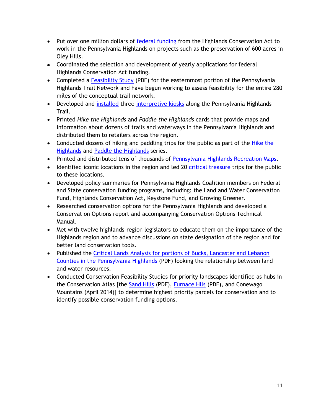- Put over one million dollars of [federal funding](http://hikethehighlands.outdoors.org/2012/01/federal-highlands-funds-protect-oley_12.html) from the Highlands Conservation Act to work in the Pennsylvania Highlands on projects such as the preservation of 600 acres in Oley Hills.
- Coordinated the selection and development of yearly applications for federal Highlands Conservation Act funding.
- Completed a [Feasibility Study](http://www.outdoors.org/pdf/upload/phtn_feasibility_study_report_-5-1-13.pdf) (PDF) for the easternmost portion of the Pennsylvania Highlands Trail Network and have begun working to assess feasibility for the entire 280 miles of the conceptual trail network.
- Developed and [installed](http://hikethehighlands.outdoors.org/2011/08/new-kiosks-in-riegelsville-kick-off_08.html) three [interpretive kiosks](http://hikethehighlands.outdoors.org/2012/06/highlands-kiosk-at-forks-of-delaware.html) along the Pennsylvania Highlands Trail.
- Printed *Hike the Highlands* and *Paddle the Highlands* cards that provide maps and information about dozens of trails and waterways in the Pennsylvania Highlands and distributed them to retailers across the region.
- Conducted dozens of hiking and paddling trips for the public as part of the *Hike the* [Highlands](http://www.outdoors.org/conservation/wherewework/highlands/hikehighlands/highlands-resources.cfm) and [Paddle the Highlands](http://hikethehighlands.outdoors.org/2013/04/get-outside-with-our-new-paddle.html) series.
- Printed and distributed tens of thousands of [Pennsylvania Highlands Recreation Maps.](http://www.outdoors.org/conservation/wherewework/highlands/hikehighlands/highlands-resources.cfm)
- Identified iconic locations in the region and led 20 [critical treasure](http://www.outdoors.org/conservation/wherewework/highlands/critical-treasures-penn-desc.cfm) trips for the public to these locations.
- Developed policy summaries for Pennsylvania Highlands Coalition members on Federal and State conservation funding programs, including: the Land and Water Conservation Fund, Highlands Conservation Act, Keystone Fund, and Growing Greener.
- Researched conservation options for the Pennsylvania Highlands and developed a Conservation Options report and accompanying Conservation Options Technical Manual.
- Met with twelve highlands-region legislators to educate them on the importance of the Highlands region and to advance discussions on state designation of the region and for better land conservation tools.
- Published the Critical Lands Analysis for portions of Bucks, Lancaster and Lebanon [Counties in the Pennsylvania Highlands](http://www.outdoors.org/pdf/upload/Report_Critical_Lands_Water_Resources_Public.pdf) (PDF) looking the relationship between land and water resources.
- Conducted Conservation Feasibility Studies for priority landscapes identified as hubs in the Conservation Atlas [the [Sand Hills](http://www.outdoors.org/pdf/upload/SandHillsPublicReport-090412.pdf) (PDF), [Furnace Hlls](http://www.outdoors.org/pdf/upload/cons-furnace-hills-assess.pdf) (PDF), and Conewago Mountains (April 2014)] to determine highest priority parcels for conservation and to identify possible conservation funding options.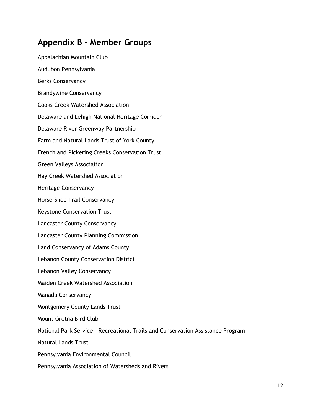#### **Appendix B – Member Groups**

Appalachian Mountain Club Audubon Pennsylvania Berks Conservancy Brandywine Conservancy Cooks Creek Watershed Association Delaware and Lehigh National Heritage Corridor Delaware River Greenway Partnership Farm and Natural Lands Trust of York County French and Pickering Creeks Conservation Trust Green Valleys Association Hay Creek Watershed Association Heritage Conservancy Horse-Shoe Trail Conservancy Keystone Conservation Trust Lancaster County Conservancy Lancaster County Planning Commission Land Conservancy of Adams County Lebanon County Conservation District Lebanon Valley Conservancy Maiden Creek Watershed Association Manada Conservancy Montgomery County Lands Trust Mount Gretna Bird Club National Park Service – Recreational Trails and Conservation Assistance Program Natural Lands Trust Pennsylvania Environmental Council Pennsylvania Association of Watersheds and Rivers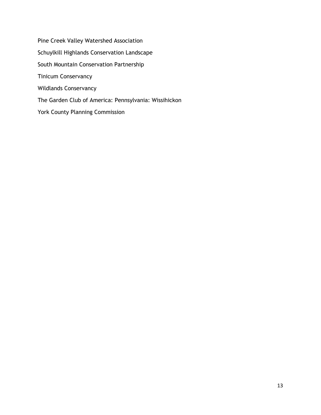Pine Creek Valley Watershed Association Schuylkill Highlands Conservation Landscape South Mountain Conservation Partnership Tinicum Conservancy Wildlands Conservancy The Garden Club of America: Pennsylvania: Wissihickon York County Planning Commission